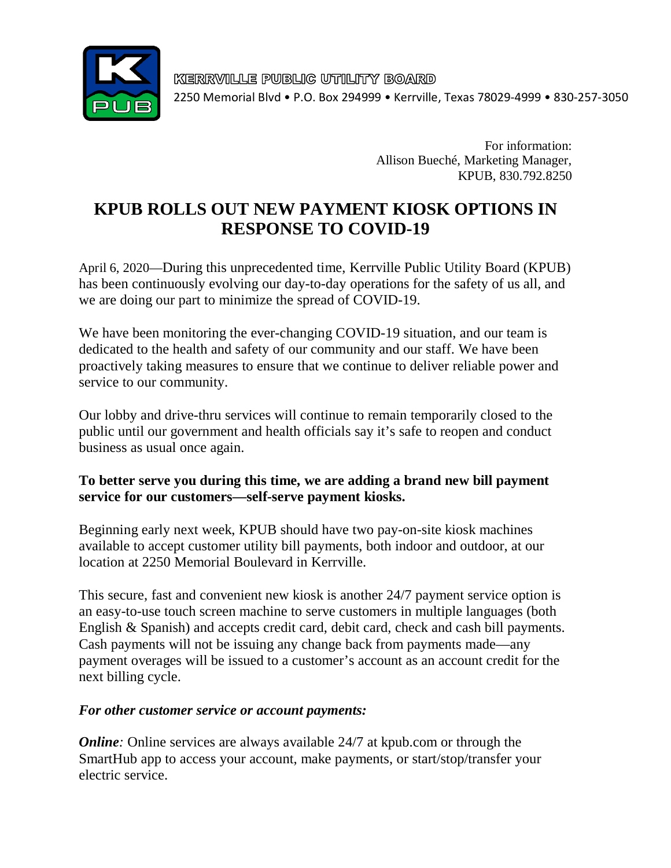

KERRVILLE PUBLIC UTILITY BOARD 2250 Memorial Blvd • P.O. Box 294999 • Kerrville, Texas 78029-4999 • 830-257-3050

> For information: Allison Bueché, Marketing Manager, KPUB, 830.792.8250

# **KPUB ROLLS OUT NEW PAYMENT KIOSK OPTIONS IN RESPONSE TO COVID-19**

April 6, 2020—During this unprecedented time, Kerrville Public Utility Board (KPUB) has been continuously evolving our day-to-day operations for the safety of us all, and we are doing our part to minimize the spread of COVID-19.

We have been monitoring the ever-changing COVID-19 situation, and our team is dedicated to the health and safety of our community and our staff. We have been proactively taking measures to ensure that we continue to deliver reliable power and service to our community.

Our lobby and drive-thru services will continue to remain temporarily closed to the public until our government and health officials say it's safe to reopen and conduct business as usual once again.

### **To better serve you during this time, we are adding a brand new bill payment service for our customers—self-serve payment kiosks.**

Beginning early next week, KPUB should have two pay-on-site kiosk machines available to accept customer utility bill payments, both indoor and outdoor, at our location at 2250 Memorial Boulevard in Kerrville.

This secure, fast and convenient new kiosk is another 24/7 payment service option is an easy-to-use touch screen machine to serve customers in multiple languages (both English & Spanish) and accepts credit card, debit card, check and cash bill payments. Cash payments will not be issuing any change back from payments made—any payment overages will be issued to a customer's account as an account credit for the next billing cycle.

#### *For other customer service or account payments:*

*Online*: Online services are always available 24/7 at kpub.com or through the SmartHub app to access your account, make payments, or start/stop/transfer your electric service.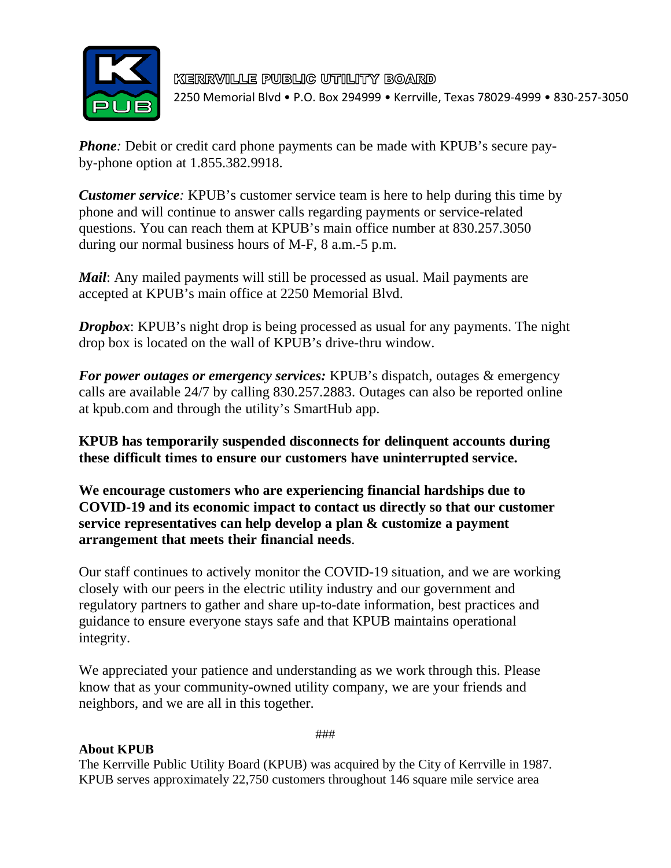

KERRVILLE PUBLIC UTILITY BOARD 2250 Memorial Blvd • P.O. Box 294999 • Kerrville, Texas 78029-4999 • 830-257-3050

*Phone*: Debit or credit card phone payments can be made with KPUB's secure payby-phone option at 1.855.382.9918.

*Customer service*: KPUB's customer service team is here to help during this time by phone and will continue to answer calls regarding payments or service-related questions. You can reach them at KPUB's main office number at 830.257.3050 during our normal business hours of M-F, 8 a.m.-5 p.m.

*Mail*: Any mailed payments will still be processed as usual. Mail payments are accepted at KPUB's main office at 2250 Memorial Blvd.

*Dropbox*: KPUB's night drop is being processed as usual for any payments. The night drop box is located on the wall of KPUB's drive-thru window.

*For power outages or emergency services:* KPUB's dispatch, outages & emergency calls are available 24/7 by calling 830.257.2883. Outages can also be reported online at kpub.com and through the utility's SmartHub app.

**KPUB has temporarily suspended disconnects for delinquent accounts during these difficult times to ensure our customers have uninterrupted service.**

**We encourage customers who are experiencing financial hardships due to COVID-19 and its economic impact to contact us directly so that our customer service representatives can help develop a plan & customize a payment arrangement that meets their financial needs**.

Our staff continues to actively monitor the COVID-19 situation, and we are working closely with our peers in the electric utility industry and our government and regulatory partners to gather and share up-to-date information, best practices and guidance to ensure everyone stays safe and that KPUB maintains operational integrity.

We appreciated your patience and understanding as we work through this. Please know that as your community-owned utility company, we are your friends and neighbors, and we are all in this together.

#### **About KPUB**

###

The Kerrville Public Utility Board (KPUB) was acquired by the City of Kerrville in 1987. KPUB serves approximately 22,750 customers throughout 146 square mile service area